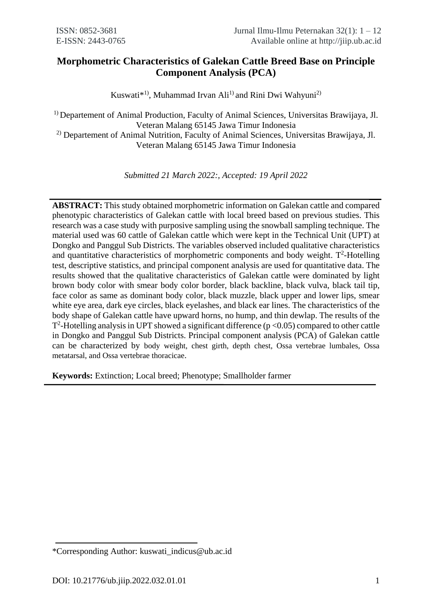# **Morphometric Characteristics of Galekan Cattle Breed Base on Principle Component Analysis (PCA)**

Kuswati<sup>\*1)</sup>, Muhammad Irvan Ali<sup>1)</sup> and Rini Dwi Wahyuni<sup>2)</sup>

<sup>1)</sup> Departement of Animal Production, Faculty of Animal Sciences, Universitas Brawijaya, Jl. Veteran Malang 65145 Jawa Timur Indonesia 2) Departement of Animal Nutrition, Faculty of Animal Sciences, Universitas Brawijaya, Jl.

Veteran Malang 65145 Jawa Timur Indonesia

*Submitted 21 March 2022:, Accepted: 19 April 2022*

**ABSTRACT:** This study obtained morphometric information on Galekan cattle and compared phenotypic characteristics of Galekan cattle with local breed based on previous studies. This research was a case study with purposive sampling using the snowball sampling technique. The material used was 60 cattle of Galekan cattle which were kept in the Technical Unit (UPT) at Dongko and Panggul Sub Districts. The variables observed included qualitative characteristics and quantitative characteristics of morphometric components and body weight.  $T^2$ -Hotelling test, descriptive statistics, and principal component analysis are used for quantitative data. The results showed that the qualitative characteristics of Galekan cattle were dominated by light brown body color with smear body color border, black backline, black vulva, black tail tip, face color as same as dominant body color, black muzzle, black upper and lower lips, smear white eye area, dark eye circles, black eyelashes, and black ear lines. The characteristics of the body shape of Galekan cattle have upward horns, no hump, and thin dewlap. The results of the  $T^2$ -Hotelling analysis in UPT showed a significant difference ( $p < 0.05$ ) compared to other cattle in Dongko and Panggul Sub Districts. Principal component analysis (PCA) of Galekan cattle can be characterized by body weight, chest girth, depth chest, Ossa vertebrae lumbales, Ossa metatarsal, and Ossa vertebrae thoracicae.

**Keywords:** Extinction; Local breed; Phenotype; Smallholder farmer

<sup>\*</sup>Corresponding Author: kuswati\_indicus@ub.ac.id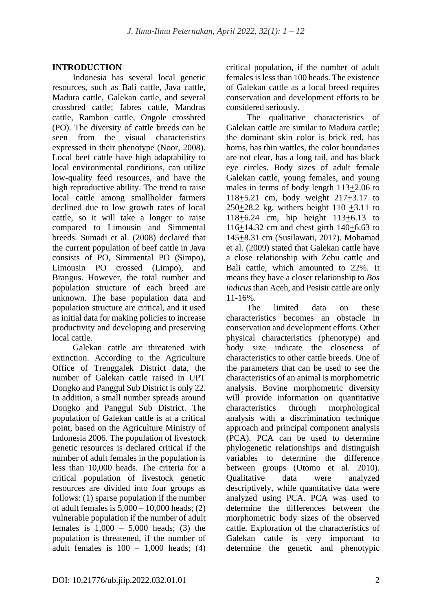## **INTRODUCTION**

Indonesia has several local genetic resources, such as Bali cattle, Java cattle, Madura cattle, Galekan cattle, and several crossbred cattle; Jabres cattle, Mandras cattle, Rambon cattle, Ongole crossbred (PO). The diversity of cattle breeds can be seen from the visual characteristics expressed in their phenotype (Noor, 2008). Local beef cattle have high adaptability to local environmental conditions, can utilize low-quality feed resources, and have the high reproductive ability. The trend to raise local cattle among smallholder farmers declined due to low growth rates of local cattle, so it will take a longer to raise compared to Limousin and Simmental breeds. Sumadi et al. (2008) declared that the current population of beef cattle in Java consists of PO, Simmental PO (Simpo), Limousin PO crossed (Limpo), and Brangus. However, the total number and population structure of each breed are unknown. The base population data and population structure are critical, and it used as initial data for making policies to increase productivity and developing and preserving local cattle.

Galekan cattle are threatened with extinction. According to the Agriculture Office of Trenggalek District data, the number of Galekan cattle raised in UPT Dongko and Panggul Sub District is only 22. In addition, a small number spreads around Dongko and Panggul Sub District. The population of Galekan cattle is at a critical point, based on the Agriculture Ministry of Indonesia 2006. The population of livestock genetic resources is declared critical if the number of adult females in the population is less than 10,000 heads. The criteria for a critical population of livestock genetic resources are divided into four groups as follows: (1) sparse population if the number of adult females is 5,000 – 10,000 heads; (2) vulnerable population if the number of adult females is  $1,000 - 5,000$  heads; (3) the population is threatened, if the number of adult females is  $100 - 1,000$  heads; (4) critical population, if the number of adult females is less than 100 heads. The existence of Galekan cattle as a local breed requires conservation and development efforts to be considered seriously.

The qualitative characteristics of Galekan cattle are similar to Madura cattle; the dominant skin color is brick red, has horns, has thin wattles, the color boundaries are not clear, has a long tail, and has black eye circles. Body sizes of adult female Galekan cattle, young females, and young males in terms of body length 113+2.06 to 118+5.21 cm, body weight 217+3.17 to  $250+28.2$  kg, withers height  $110 +3.11$  to 118+6.24 cm, hip height 113+6.13 to 116+14.32 cm and chest girth 140+6.63 to 145+8.31 cm (Susilawati, 2017). Mohamad et al. (2009) stated that Galekan cattle have a close relationship with Zebu cattle and Bali cattle, which amounted to 22%. It means they have a closer relationship to *Bos indicus* than Aceh, and Pesisir cattle are only 11-16%.

The limited data on these characteristics becomes an obstacle in conservation and development efforts. Other physical characteristics (phenotype) and body size indicate the closeness of characteristics to other cattle breeds. One of the parameters that can be used to see the characteristics of an animal is morphometric analysis. Bovine morphometric diversity will provide information on quantitative characteristics through morphological analysis with a discrimination technique approach and principal component analysis (PCA). PCA can be used to determine phylogenetic relationships and distinguish variables to determine the difference between groups (Utomo et al. 2010). Qualitative data were analyzed descriptively, while quantitative data were analyzed using PCA. PCA was used to determine the differences between the morphometric body sizes of the observed cattle. Exploration of the characteristics of Galekan cattle is very important to determine the genetic and phenotypic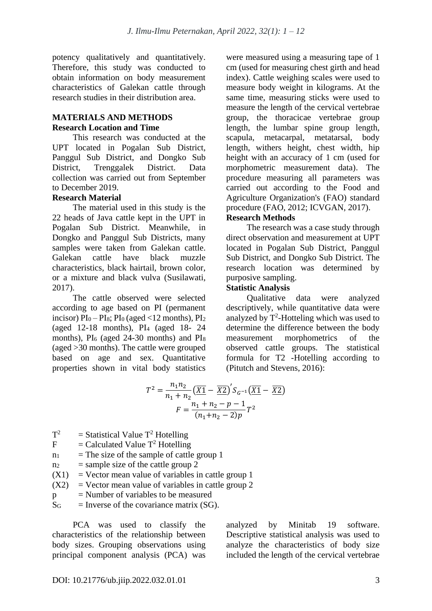potency qualitatively and quantitatively. Therefore, this study was conducted to obtain information on body measurement characteristics of Galekan cattle through research studies in their distribution area.

#### **MATERIALS AND METHODS Research Location and Time**

This research was conducted at the UPT located in Pogalan Sub District, Panggul Sub District, and Dongko Sub District, Trenggalek District. Data collection was carried out from September to December 2019.

## **Research Material**

The material used in this study is the 22 heads of Java cattle kept in the UPT in Pogalan Sub District. Meanwhile, in Dongko and Panggul Sub Districts, many samples were taken from Galekan cattle. Galekan cattle have black muzzle characteristics, black hairtail, brown color, or a mixture and black vulva (Susilawati, 2017).

The cattle observed were selected according to age based on PI (permanent incisor)  $PI_0 - PI_8$ ;  $PI_0$  (aged <12 months),  $PI_2$ (aged 12-18 months), PI<sup>4</sup> (aged 18- 24 months),  $PI_6$  (aged 24-30 months) and  $PI_8$ (aged >30 months). The cattle were grouped based on age and sex. Quantitative properties shown in vital body statistics were measured using a measuring tape of 1 cm (used for measuring chest girth and head index). Cattle weighing scales were used to measure body weight in kilograms. At the same time, measuring sticks were used to measure the length of the cervical vertebrae group, the thoracicae vertebrae group length, the lumbar spine group length, scapula, metacarpal, metatarsal, body length, withers height, chest width, hip height with an accuracy of 1 cm (used for morphometric measurement data). The procedure measuring all parameters was carried out according to the Food and Agriculture Organization's (FAO) standard procedure (FAO, 2012; ICVGAN, 2017).

#### **Research Methods**

The research was a case study through direct observation and measurement at UPT located in Pogalan Sub District, Panggul Sub District, and Dongko Sub District. The research location was determined by purposive sampling.

## **Statistic Analysis**

Qualitative data were analyzed descriptively, while quantitative data were analyzed by  $T^2$ -Hotteling which was used to determine the difference between the body measurement morphometrics of the observed cattle groups. The statistical formula for T2 -Hotelling according to (Pitutch and Stevens, 2016):

$$
T^{2} = \frac{n_{1}n_{2}}{n_{1} + n_{2}} \left(\frac{\overline{X1}}{\overline{X2}} - \frac{\overline{X2}}{\overline{X2}}\right)^{t} S_{G^{-1}} \left(\frac{\overline{X1}}{\overline{X2}} - \frac{\overline{X2}}{\overline{X2}}\right)
$$

$$
F = \frac{n_{1} + n_{2} - p - 1}{(n_{1} + n_{2} - 2)p} T^{2}
$$

- $T^2$  $=$  Statistical Value  $T^2$  Hotelling
- $F =$ Calculated Value  $T^2$  Hotelling
- $n_1$  = The size of the sample of cattle group 1
- $n_2$  = sample size of the cattle group 2
- $(X1)$  = Vector mean value of variables in cattle group 1
- $(X2)$  = Vector mean value of variables in cattle group 2
- $p =$  Number of variables to be measured
- $\overline{S}_{G}$  = Inverse of the covariance matrix (SG).

PCA was used to classify the characteristics of the relationship between body sizes. Grouping observations using principal component analysis (PCA) was

analyzed by Minitab 19 software. Descriptive statistical analysis was used to analyze the characteristics of body size included the length of the cervical vertebrae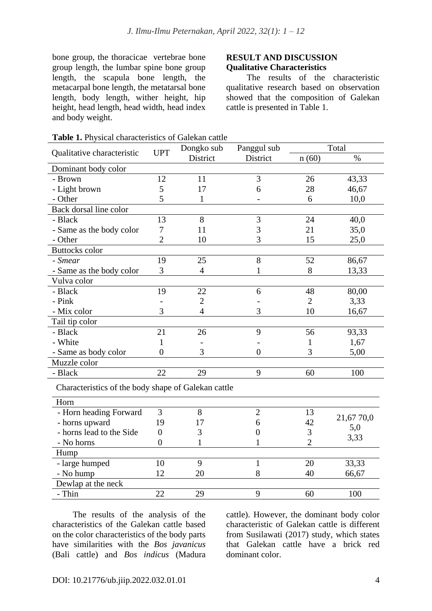bone group, the thoracicae vertebrae bone group length, the lumbar spine bone group length, the scapula bone length, the metacarpal bone length, the metatarsal bone length, body length, wither height, hip height, head length, head width, head index and body weight.

#### **RESULT AND DISCUSSION Qualitative Characteristics**

The results of the characteristic qualitative research based on observation showed that the composition of Galekan cattle is presented in Table 1.

| Qualitative characteristic | <b>UPT</b>                                          | Dongko sub     | Panggul sub      | Total          |            |  |  |  |  |
|----------------------------|-----------------------------------------------------|----------------|------------------|----------------|------------|--|--|--|--|
|                            |                                                     | District       | District         | n(60)          | $\%$       |  |  |  |  |
| Dominant body color        |                                                     |                |                  |                |            |  |  |  |  |
| - Brown                    | 12                                                  | 11             | 3                | 26             | 43,33      |  |  |  |  |
| - Light brown              | 5                                                   | 17             | 6                | 28             | 46,67      |  |  |  |  |
| - Other                    | 5                                                   | $\mathbf{1}$   |                  | 6              | 10,0       |  |  |  |  |
| Back dorsal line color     |                                                     |                |                  |                |            |  |  |  |  |
| - Black                    | 13                                                  | 8              | $\mathfrak{Z}$   | 24             | 40,0       |  |  |  |  |
| - Same as the body color   | 7                                                   | 11             | 3                |                | 35,0       |  |  |  |  |
| - Other                    | $\overline{2}$                                      | 3<br>10        |                  | 15             | 25,0       |  |  |  |  |
| <b>Buttocks</b> color      |                                                     |                |                  |                |            |  |  |  |  |
| - Smear                    | 19                                                  | 25             | 8                | 52             | 86,67      |  |  |  |  |
| - Same as the body color   | 3                                                   | $\overline{4}$ | 1                | 8              | 13,33      |  |  |  |  |
| Vulva color                |                                                     |                |                  |                |            |  |  |  |  |
| - Black                    | 19                                                  | 22             | 6                | 48             | 80,00      |  |  |  |  |
| - Pink                     |                                                     | $\overline{2}$ |                  | $\overline{2}$ | 3,33       |  |  |  |  |
| - Mix color                | 3                                                   | $\overline{4}$ | 3                | 10             | 16,67      |  |  |  |  |
| Tail tip color             |                                                     |                |                  |                |            |  |  |  |  |
| - Black                    | 21                                                  | 26             | 9                | 56             | 93,33      |  |  |  |  |
| - White                    | 1                                                   |                |                  | 1              | 1,67       |  |  |  |  |
| - Same as body color       | $\overline{0}$                                      | 3              | $\overline{0}$   | 3              | 5,00       |  |  |  |  |
| Muzzle color               |                                                     |                |                  |                |            |  |  |  |  |
| - Black                    | 22                                                  | 29             | 9                | 60             | 100        |  |  |  |  |
|                            | Characteristics of the body shape of Galekan cattle |                |                  |                |            |  |  |  |  |
| Horn                       |                                                     |                |                  |                |            |  |  |  |  |
| - Horn heading Forward     | 3                                                   | 8              | $\overline{2}$   | 13             |            |  |  |  |  |
| - horns upward             | 19                                                  | 17             | 6                | 42             | 21,67 70,0 |  |  |  |  |
| - horns lead to the Side   | $\theta$                                            | 3              | $\boldsymbol{0}$ | $\mathfrak{Z}$ | 5,0        |  |  |  |  |
| - No horns                 | $\overline{0}$                                      | 1              | 1                | $\overline{2}$ | 3,33       |  |  |  |  |
| Hump                       |                                                     |                |                  |                |            |  |  |  |  |
| - large humped             | 10                                                  | 9              | 1                | 20             | 33,33      |  |  |  |  |
| - No hump                  | 12                                                  | 20             | 8                | 40             | 66,67      |  |  |  |  |
| Dewlap at the neck         |                                                     |                |                  |                |            |  |  |  |  |
| - Thin                     | 22                                                  | 29             | 9                | 60             | 100        |  |  |  |  |

| <b>Table 1.</b> Physical characteristics of Galekan cattle |  |
|------------------------------------------------------------|--|
|------------------------------------------------------------|--|

The results of the analysis of the characteristics of the Galekan cattle based on the color characteristics of the body parts have similarities with the *Bos javanicus* (Bali cattle) and *Bos indicus* (Madura

cattle). However, the dominant body color characteristic of Galekan cattle is different from Susilawati (2017) study, which states that Galekan cattle have a brick red dominant color.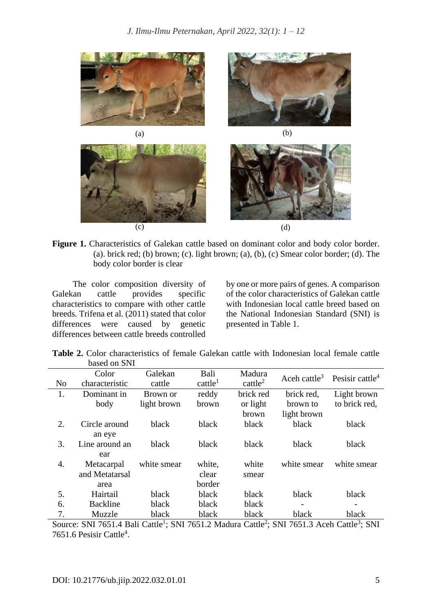

**Figure 1.** Characteristics of Galekan cattle based on dominant color and body color border. (a). brick red; (b) brown; (c). light brown; (a), (b), (c) Smear color border; (d). The body color border is clear

The color composition diversity of Galekan cattle provides specific characteristics to compare with other cattle breeds. Trifena et al. (2011) stated that color differences were caused by genetic differences between cattle breeds controlled

by one or more pairs of genes. A comparison of the color characteristics of Galekan cattle with Indonesian local cattle breed based on the National Indonesian Standard (SNI) is presented in Table 1.

|  | <b>Table 2.</b> Color characteristics of female Galekan cattle with Indonesian local female cattle |  |  |  |  |
|--|----------------------------------------------------------------------------------------------------|--|--|--|--|
|  | based on SNI                                                                                       |  |  |  |  |

|                | Color           | Galekan     | Bali                   | Madura              |             | Aceh cattle <sup>3</sup> Pesisir cattle <sup>4</sup> |
|----------------|-----------------|-------------|------------------------|---------------------|-------------|------------------------------------------------------|
| N <sub>o</sub> | characteristic  | cattle      | $c$ attle <sup>1</sup> | cattle <sup>2</sup> |             |                                                      |
| 1.             | Dominant in     | Brown or    | reddy                  | brick red           | brick red,  | Light brown                                          |
|                | body            | light brown | brown                  | or light            | brown to    | to brick red,                                        |
|                |                 |             |                        | brown               | light brown |                                                      |
| 2.             | Circle around   | black       | black                  | black               | black       | black                                                |
|                | an eye          |             |                        |                     |             |                                                      |
| 3.             | Line around an  | black       | black                  | black               | black       | black                                                |
|                | ear             |             |                        |                     |             |                                                      |
| 4.             | Metacarpal      | white smear | white,                 | white               | white smear | white smear                                          |
|                | and Metatarsal  |             | clear                  | smear               |             |                                                      |
|                | area            |             | border                 |                     |             |                                                      |
| 5.             | Hairtail        | black       | black                  | black               | black       | black                                                |
| б.             | <b>Backline</b> | black       | black                  | black               |             |                                                      |
| 7.             | Muzzle          | black       | black                  | black               | black       | black                                                |

Source: SNI 7651.4 Bali Cattle<sup>1</sup>; SNI 7651.2 Madura Cattle<sup>2</sup>; SNI 7651.3 Aceh Cattle<sup>3</sup>; SNI 7651.6 Pesisir Cattle<sup>4</sup>.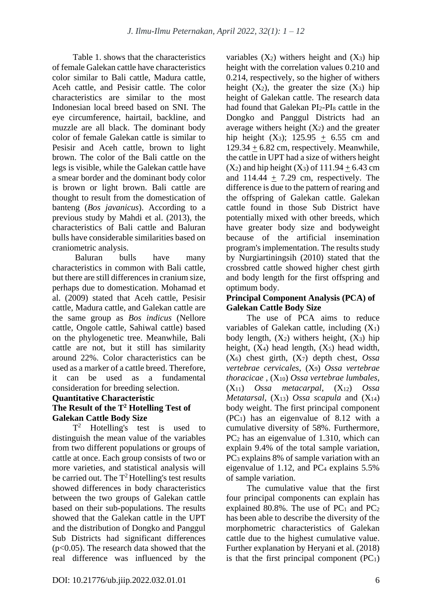Table 1. shows that the characteristics of female Galekan cattle have characteristics color similar to Bali cattle, Madura cattle, Aceh cattle, and Pesisir cattle. The color characteristics are similar to the most Indonesian local breed based on SNI. The eye circumference, hairtail, backline, and muzzle are all black. The dominant body color of female Galekan cattle is similar to Pesisir and Aceh cattle, brown to light brown. The color of the Bali cattle on the legs is visible, while the Galekan cattle have a smear border and the dominant body color is brown or light brown. Bali cattle are thought to result from the domestication of banteng (*Bos javanicus*). According to a previous study by Mahdi et al. (2013), the characteristics of Bali cattle and Baluran bulls have considerable similarities based on craniometric analysis.

Baluran bulls have many characteristics in common with Bali cattle, but there are still differences in cranium size, perhaps due to domestication. Mohamad et al. (2009) stated that Aceh cattle, Pesisir cattle, Madura cattle, and Galekan cattle are the same group as *Bos indicus* (Nellore cattle, Ongole cattle, Sahiwal cattle) based on the phylogenetic tree. Meanwhile, Bali cattle are not, but it still has similarity around 22%. Color characteristics can be used as a marker of a cattle breed. Therefore, it can be used as a fundamental consideration for breeding selection.

## **Quantitative Characteristic**

## **The Result of the T<sup>2</sup> Hotelling Test of Galekan Cattle Body Size**

 $T^2$  Hotelling's test is used to distinguish the mean value of the variables from two different populations or groups of cattle at once. Each group consists of two or more varieties, and statistical analysis will be carried out. The  $T^2$  Hotelling's test results showed differences in body characteristics between the two groups of Galekan cattle based on their sub-populations. The results showed that the Galekan cattle in the UPT and the distribution of Dongko and Panggul Sub Districts had significant differences  $(p<0.05)$ . The research data showed that the real difference was influenced by the

variables  $(X_2)$  withers height and  $(X_3)$  hip height with the correlation values 0.210 and 0.214, respectively, so the higher of withers height  $(X_2)$ , the greater the size  $(X_3)$  hip height of Galekan cattle. The research data had found that Galekan PI2-PI<sup>8</sup> cattle in the Dongko and Panggul Districts had an average withers height  $(X_2)$  and the greater hip height (X<sub>3</sub>); 125.95  $+$  6.55 cm and  $129.34 + 6.82$  cm, respectively. Meanwhile, the cattle in UPT had a size of withers height  $(X_2)$  and hip height  $(X_3)$  of  $111.94 + 6.43$  cm and 114.44  $\pm$  7.29 cm, respectively. The difference is due to the pattern of rearing and the offspring of Galekan cattle. Galekan cattle found in those Sub District have potentially mixed with other breeds, which have greater body size and bodyweight because of the artificial insemination program's implementation. The results study by Nurgiartiningsih (2010) stated that the crossbred cattle showed higher chest girth and body length for the first offspring and optimum body.

#### **Principal Component Analysis (PCA) of Galekan Cattle Body Size**

The use of PCA aims to reduce variables of Galekan cattle, including  $(X_1)$ body length,  $(X_2)$  withers height,  $(X_3)$  hip height,  $(X_4)$  head length,  $(X_5)$  head width, (X6) chest girth, (X7) depth chest, *Ossa vertebrae cervicales*, (X9) *Ossa vertebrae thoracicae* , (X10) *Ossa vertebrae lumbales*, (X11) *Ossa metacarpal*, (X12) *Ossa Metatarsal*, (X13) *Ossa scapula* and (X14) body weight. The first principal component (PC1) has an eigenvalue of 8.12 with a cumulative diversity of 58%. Furthermore, PC<sup>2</sup> has an eigenvalue of 1.310, which can explain 9.4% of the total sample variation, PC<sup>3</sup> explains 8% of sample variation with an eigenvalue of 1.12, and  $PC_4$  explains 5.5% of sample variation.

The cumulative value that the first four principal components can explain has explained  $80.8\%$ . The use of PC<sub>1</sub> and PC<sub>2</sub> has been able to describe the diversity of the morphometric characteristics of Galekan cattle due to the highest cumulative value. Further explanation by Heryani et al. (2018) is that the first principal component  $(PC_1)$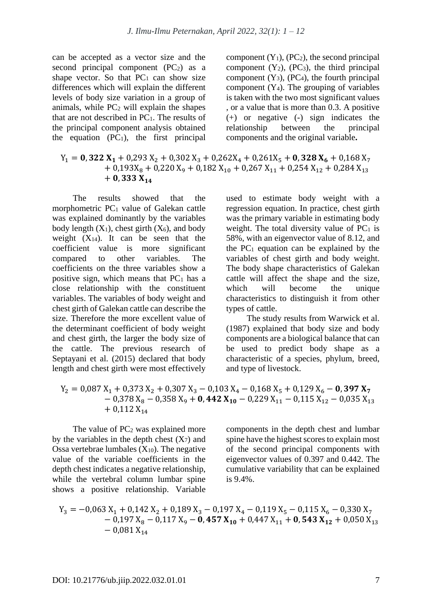can be accepted as a vector size and the second principal component  $(PC_2)$  as a shape vector. So that  $PC_1$  can show size differences which will explain the different levels of body size variation in a group of animals, while  $PC<sub>2</sub>$  will explain the shapes that are not described in  $PC<sub>1</sub>$ . The results of the principal component analysis obtained the equation  $(PC_1)$ , the first principal

component  $(Y_1)$ ,  $(PC_2)$ , the second principal component  $(Y_2)$ ,  $(PC_3)$ , the third principal component  $(Y_3)$ ,  $(PC_4)$ , the fourth principal component  $(Y_4)$ . The grouping of variables is taken with the two most significant values , or a value that is more than 0.3. A positive (+) or negative (-) sign indicates the relationship between the principal components and the original variable**.**

## $Y_1 = 0$ , 322  $X_1 + 0$ , 293  $X_2 + 0$ , 302  $X_3 + 0$ , 262 $X_4 + 0$ , 261 $X_5 + 0$ , 328  $X_6 + 0$ , 168  $X_7$  $+ 0.193X_8 + 0.220X_9 + 0.182X_{10} + 0.267X_{11} + 0.254X_{12} + 0.284X_{13}$  $+ 0,333 X_{14}$

The results showed that the morphometric PC<sup>1</sup> value of Galekan cattle was explained dominantly by the variables body length  $(X_1)$ , chest girth  $(X_6)$ , and body weight  $(X_{14})$ . It can be seen that the coefficient value is more significant compared to other variables. The coefficients on the three variables show a positive sign, which means that  $PC<sub>1</sub>$  has a close relationship with the constituent variables. The variables of body weight and chest girth of Galekan cattle can describe the size. Therefore the more excellent value of the determinant coefficient of body weight and chest girth, the larger the body size of the cattle. The previous research of Septayani et al. (2015) declared that body length and chest girth were most effectively

used to estimate body weight with a regression equation. In practice, chest girth was the primary variable in estimating body weight. The total diversity value of  $PC<sub>1</sub>$  is 58%, with an eigenvector value of 8.12, and the  $PC<sub>1</sub>$  equation can be explained by the variables of chest girth and body weight. The body shape characteristics of Galekan cattle will affect the shape and the size, which will become the unique characteristics to distinguish it from other types of cattle.

The study results from Warwick et al. (1987) explained that body size and body components are a biological balance that can be used to predict body shape as a characteristic of a species, phylum, breed, and type of livestock.

$$
Y_2 = 0,087 X_1 + 0,373 X_2 + 0,307 X_3 - 0,103 X_4 - 0,168 X_5 + 0,129 X_6 - 0,397 X_7 - 0,378 X_8 - 0,358 X_9 + 0,442 X_{10} - 0,229 X_{11} - 0,115 X_{12} - 0,035 X_{13} + 0,112 X_{14}
$$

The value of  $PC<sub>2</sub>$  was explained more by the variables in the depth chest  $(X<sub>7</sub>)$  and Ossa vertebrae lumbales  $(X_{10})$ . The negative value of the variable coefficients in the depth chest indicates a negative relationship, while the vertebral column lumbar spine shows a positive relationship. Variable components in the depth chest and lumbar spine have the highest scores to explain most of the second principal components with eigenvector values of 0.397 and 0.442. The cumulative variability that can be explained is 9.4%.

$$
Y_3 = -0.063 X_1 + 0.142 X_2 + 0.189 X_3 - 0.197 X_4 - 0.119 X_5 - 0.115 X_6 - 0.330 X_7 - 0.197 X_8 - 0.117 X_9 - 0.457 X_{10} + 0.447 X_{11} + 0.543 X_{12} + 0.050 X_{13} - 0.081 X_{14}
$$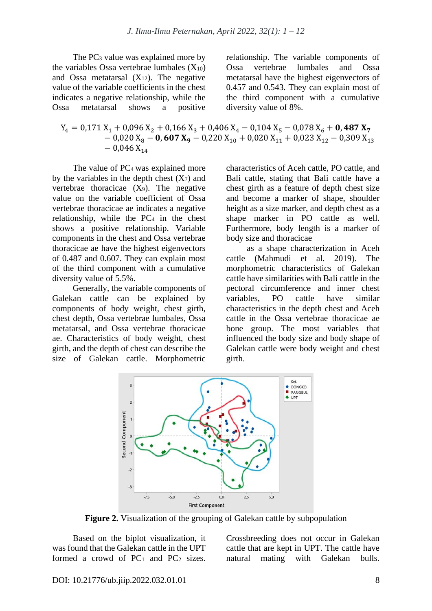The PC<sub>3</sub> value was explained more by the variables Ossa vertebrae lumbales  $(X_{10})$ and Ossa metatarsal  $(X_{12})$ . The negative value of the variable coefficients in the chest indicates a negative relationship, while the Ossa metatarsal shows a positive

relationship. The variable components of Ossa vertebrae lumbales and Ossa metatarsal have the highest eigenvectors of 0.457 and 0.543. They can explain most of the third component with a cumulative diversity value of 8%.

$$
Y_4 = 0,171 X_1 + 0,096 X_2 + 0,166 X_3 + 0,406 X_4 - 0,104 X_5 - 0,078 X_6 + 0,487 X_7 - 0,020 X_8 - 0,607 X_9 - 0,220 X_{10} + 0,020 X_{11} + 0,023 X_{12} - 0,309 X_{13} - 0,046 X_{14}
$$

The value of PC<sub>4</sub> was explained more by the variables in the depth chest  $(X<sub>7</sub>)$  and vertebrae thoracicae  $(X_9)$ . The negative value on the variable coefficient of Ossa vertebrae thoracicae ae indicates a negative relationship, while the PC<sup>4</sup> in the chest shows a positive relationship. Variable components in the chest and Ossa vertebrae thoracicae ae have the highest eigenvectors of 0.487 and 0.607. They can explain most of the third component with a cumulative diversity value of 5.5%.

Generally, the variable components of Galekan cattle can be explained by components of body weight, chest girth, chest depth, Ossa vertebrae lumbales, Ossa metatarsal, and Ossa vertebrae thoracicae ae. Characteristics of body weight, chest girth, and the depth of chest can describe the size of Galekan cattle. Morphometric

characteristics of Aceh cattle, PO cattle, and Bali cattle, stating that Bali cattle have a chest girth as a feature of depth chest size and become a marker of shape, shoulder height as a size marker, and depth chest as a shape marker in PO cattle as well. Furthermore, body length is a marker of body size and thoracicae

as a shape characterization in Aceh cattle (Mahmudi et al. 2019). The morphometric characteristics of Galekan cattle have similarities with Bali cattle in the pectoral circumference and inner chest variables, PO cattle have similar characteristics in the depth chest and Aceh cattle in the Ossa vertebrae thoracicae ae bone group. The most variables that influenced the body size and body shape of Galekan cattle were body weight and chest girth.



**Figure 2.** Visualization of the grouping of Galekan cattle by subpopulation

Based on the biplot visualization, it was found that the Galekan cattle in the UPT formed a crowd of  $PC_1$  and  $PC_2$  sizes. Crossbreeding does not occur in Galekan cattle that are kept in UPT. The cattle have natural mating with Galekan bulls.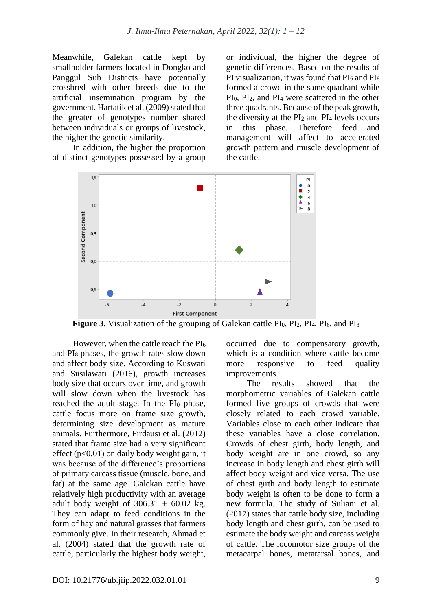Meanwhile, Galekan cattle kept by smallholder farmers located in Dongko and Panggul Sub Districts have potentially crossbred with other breeds due to the artificial insemination program by the government. Hartatik et al. (2009) stated that the greater of genotypes number shared between individuals or groups of livestock, the higher the genetic similarity.

In addition, the higher the proportion of distinct genotypes possessed by a group or individual, the higher the degree of genetic differences. Based on the results of PI visualization, it was found that  $PI_6$  and  $PI_8$ formed a crowd in the same quadrant while PI0, PI2, and PI<sup>4</sup> were scattered in the other three quadrants. Because of the peak growth, the diversity at the  $PI_2$  and  $PI_4$  levels occurs in this phase. Therefore feed and management will affect to accelerated growth pattern and muscle development of the cattle.



**Figure 3.** Visualization of the grouping of Galekan cattle PI<sub>0</sub>, PI<sub>2</sub>, PI<sub>4</sub>, PI<sub>6</sub>, and PI<sub>8</sub>

However, when the cattle reach the  $PI_6$ and PI<sup>8</sup> phases, the growth rates slow down and affect body size. According to Kuswati and Susilawati (2016), growth increases body size that occurs over time, and growth will slow down when the livestock has reached the adult stage. In the PI<sub>0</sub> phase, cattle focus more on frame size growth, determining size development as mature animals. Furthermore, Firdausi et al. (2012) stated that frame size had a very significant effect ( $p<0.01$ ) on daily body weight gain, it was because of the difference's proportions of primary carcass tissue (muscle, bone, and fat) at the same age. Galekan cattle have relatively high productivity with an average adult body weight of  $306.31 + 60.02$  kg. They can adapt to feed conditions in the form of hay and natural grasses that farmers commonly give. In their research, Ahmad et al. (2004) stated that the growth rate of cattle, particularly the highest body weight,

occurred due to compensatory growth, which is a condition where cattle become more responsive to feed quality improvements.

The results showed that the morphometric variables of Galekan cattle formed five groups of crowds that were closely related to each crowd variable. Variables close to each other indicate that these variables have a close correlation. Crowds of chest girth, body length, and body weight are in one crowd, so any increase in body length and chest girth will affect body weight and vice versa. The use of chest girth and body length to estimate body weight is often to be done to form a new formula. The study of Suliani et al. (2017) states that cattle body size, including body length and chest girth, can be used to estimate the body weight and carcass weight of cattle. The locomotor size groups of the metacarpal bones, metatarsal bones, and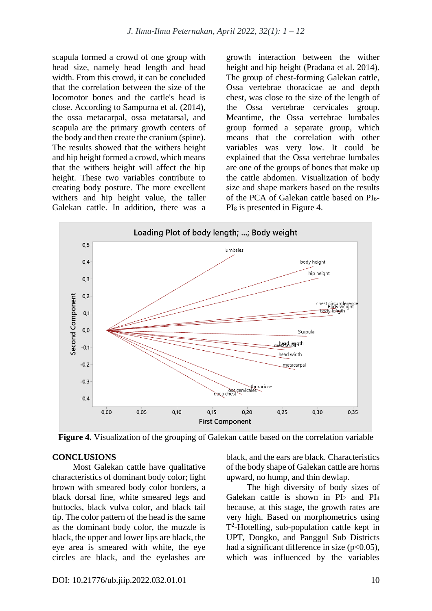scapula formed a crowd of one group with head size, namely head length and head width. From this crowd, it can be concluded that the correlation between the size of the locomotor bones and the cattle's head is close. According to Sampurna et al. (2014), the ossa metacarpal, ossa metatarsal, and scapula are the primary growth centers of the body and then create the cranium (spine). The results showed that the withers height and hip height formed a crowd, which means that the withers height will affect the hip height. These two variables contribute to creating body posture. The more excellent withers and hip height value, the taller Galekan cattle. In addition, there was a growth interaction between the wither height and hip height (Pradana et al. 2014). The group of chest-forming Galekan cattle, Ossa vertebrae thoracicae ae and depth chest, was close to the size of the length of the Ossa vertebrae cervicales group. Meantime, the Ossa vertebrae lumbales group formed a separate group, which means that the correlation with other variables was very low. It could be explained that the Ossa vertebrae lumbales are one of the groups of bones that make up the cattle abdomen. Visualization of body size and shape markers based on the results of the PCA of Galekan cattle based on PI6- PI<sup>8</sup> is presented in Figure 4.



**Figure 4.** Visualization of the grouping of Galekan cattle based on the correlation variable

## **CONCLUSIONS**

Most Galekan cattle have qualitative characteristics of dominant body color; light brown with smeared body color borders, a black dorsal line, white smeared legs and buttocks, black vulva color, and black tail tip. The color pattern of the head is the same as the dominant body color, the muzzle is black, the upper and lower lips are black, the eye area is smeared with white, the eye circles are black, and the eyelashes are black, and the ears are black. Characteristics of the body shape of Galekan cattle are horns upward, no hump, and thin dewlap.

The high diversity of body sizes of Galekan cattle is shown in  $PI_2$  and  $PI_4$ because, at this stage, the growth rates are very high. Based on morphometrics using T 2 -Hotelling, sub-population cattle kept in UPT, Dongko, and Panggul Sub Districts had a significant difference in size ( $p<0.05$ ), which was influenced by the variables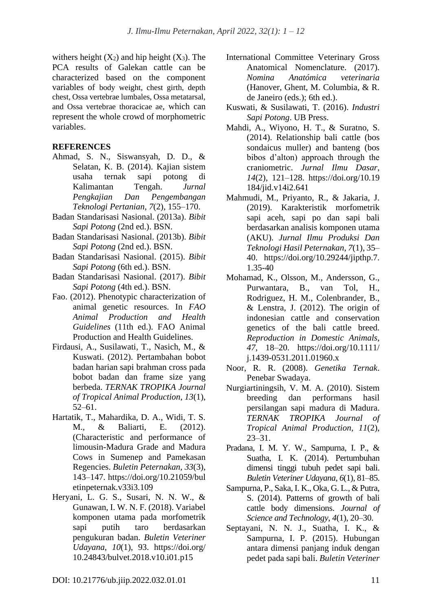withers height  $(X_2)$  and hip height  $(X_3)$ . The PCA results of Galekan cattle can be characterized based on the component variables of body weight, chest girth, depth chest, Ossa vertebrae lumbales, Ossa metatarsal, and Ossa vertebrae thoracicae ae, which can represent the whole crowd of morphometric variables.

#### **REFERENCES**

- Ahmad, S. N., Siswansyah, D. D., & Selatan, K. B. (2014). Kajian sistem usaha ternak sapi potong di Kalimantan Tengah. *Jurnal Pengkajian Dan Pengembangan Teknologi Pertanian*, *7*(2), 155–170.
- Badan Standarisasi Nasional. (2013a). *Bibit Sapi Potong* (2nd ed.). BSN.
- Badan Standarisasi Nasional. (2013b). *Bibit Sapi Potong* (2nd ed.). BSN.
- Badan Standarisasi Nasional. (2015). *Bibit Sapi Potong* (6th ed.). BSN.
- Badan Standarisasi Nasional. (2017). *Bibit Sapi Potong* (4th ed.). BSN.
- Fao. (2012). Phenotypic characterization of animal genetic resources. In *FAO Animal Production and Health Guidelines* (11th ed.). FAO Animal Production and Health Guidelines.
- Firdausi, A., Susilawati, T., Nasich, M., & Kuswati. (2012). Pertambahan bobot badan harian sapi brahman cross pada bobot badan dan frame size yang berbeda. *TERNAK TROPIKA Journal of Tropical Animal Production*, *13*(1), 52–61.
- Hartatik, T., Mahardika, D. A., Widi, T. S. M., & Baliarti, E. (2012). (Characteristic and performance of limousin-Madura Grade and Madura Cows in Sumenep and Pamekasan Regencies. *Buletin Peternakan*, *33*(3), 143–147. https://doi.org/10.21059/bul etinpeternak.v33i3.109
- Heryani, L. G. S., Susari, N. N. W., & Gunawan, I. W. N. F. (2018). Variabel komponen utama pada morfometrik sapi putih taro berdasarkan pengukuran badan. *Buletin Veteriner Udayana*, *10*(1), 93. https://doi.org/ 10.24843/bulvet.2018.v10.i01.p15
- International Committee Veterinary Gross Anatomical Nomenclature. (2017). *Nomina Anatómica veterinaria* (Hanover, Ghent, M. Columbia, & R. de Janeiro (eds.); 6th ed.).
- Kuswati, & Susilawati, T. (2016). *Industri Sapi Potong*. UB Press.
- Mahdi, A., Wiyono, H. T., & Suratno, S. (2014). Relationship bali cattle (bos sondaicus muller) and banteng (bos bibos d'alton) approach through the craniometric. *Jurnal Ilmu Dasar*, *14*(2), 121–128. https://doi.org/10.19 184/jid.v14i2.641
- Mahmudi, M., Priyanto, R., & Jakaria, J. (2019). Karakteristik morfometrik sapi aceh, sapi po dan sapi bali berdasarkan analisis komponen utama (AKU). *Jurnal Ilmu Produksi Dan Teknologi Hasil Peternakan*, *7*(1), 35– 40. https://doi.org/10.29244/jipthp.7. 1.35-40
- Mohamad, K., Olsson, M., Andersson, G., Purwantara, B., van Tol, H., Rodriguez, H. M., Colenbrander, B., & Lenstra, J. (2012). The origin of indonesian cattle and conservation genetics of the bali cattle breed. *Reproduction in Domestic Animals*, *47*, 18–20. https://doi.org/10.1111/ j.1439-0531.2011.01960.x
- Noor, R. R. (2008). *Genetika Ternak*. Penebar Swadaya.
- Nurgiartiningsih, V. M. A. (2010). Sistem breeding dan performans hasil persilangan sapi madura di Madura. *TERNAK TROPIKA Journal of Tropical Animal Production*, *11*(2), 23–31.
- Pradana, I. M. Y. W., Sampurna, I. P., & Suatha, I. K. (2014). Pertumbuhan dimensi tinggi tubuh pedet sapi bali. *Buletin Veteriner Udayana*, *6*(1), 81–85.
- Sampurna, P., Saka, I. K., Oka, G. L., & Putra, S. (2014). Patterns of growth of bali cattle body dimensions. *Journal of Science and Technology*, *4*(1), 20–30.
- Septayani, N. N. J., Suatha, I. K., & Sampurna, I. P. (2015). Hubungan antara dimensi panjang induk dengan pedet pada sapi bali. *Buletin Veteriner*